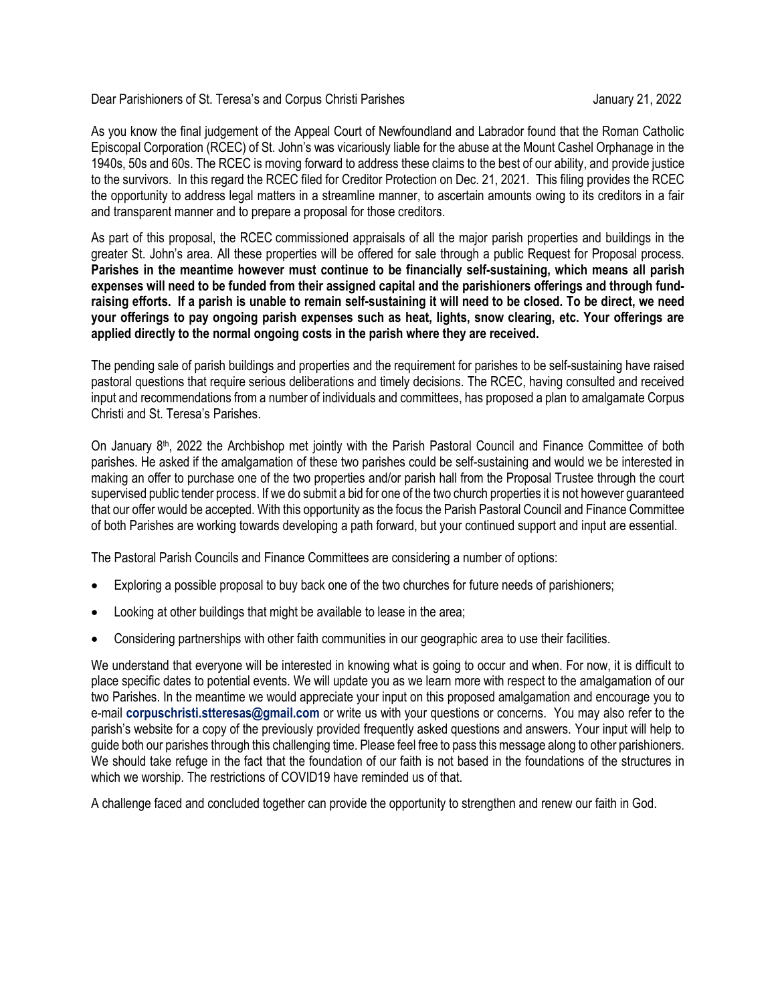Dear Parishioners of St. Teresa's and Corpus Christi Parishes January 21, 2022

As you know the final judgement of the Appeal Court of Newfoundland and Labrador found that the Roman Catholic Episcopal Corporation (RCEC) of St. John's was vicariously liable for the abuse at the Mount Cashel Orphanage in the 1940s, 50s and 60s. The RCEC is moving forward to address these claims to the best of our ability, and provide justice to the survivors. In this regard the RCEC filed for Creditor Protection on Dec. 21, 2021. This filing provides the RCEC the opportunity to address legal matters in a streamline manner, to ascertain amounts owing to its creditors in a fair and transparent manner and to prepare a proposal for those creditors.

As part of this proposal, the RCEC commissioned appraisals of all the major parish properties and buildings in the greater St. John's area. All these properties will be offered for sale through a public Request for Proposal process. **Parishes in the meantime however must continue to be financially self-sustaining, which means all parish expenses will need to be funded from their assigned capital and the parishioners offerings and through fundraising efforts. If a parish is unable to remain self-sustaining it will need to be closed. To be direct, we need your offerings to pay ongoing parish expenses such as heat, lights, snow clearing, etc. Your offerings are applied directly to the normal ongoing costs in the parish where they are received.** 

The pending sale of parish buildings and properties and the requirement for parishes to be self-sustaining have raised pastoral questions that require serious deliberations and timely decisions. The RCEC, having consulted and received input and recommendations from a number of individuals and committees, has proposed a plan to amalgamate Corpus Christi and St. Teresa's Parishes.

On January 8<sup>th</sup>, 2022 the Archbishop met jointly with the Parish Pastoral Council and Finance Committee of both parishes. He asked if the amalgamation of these two parishes could be self-sustaining and would we be interested in making an offer to purchase one of the two properties and/or parish hall from the Proposal Trustee through the court supervised public tender process. If we do submit a bid for one of the two church properties it is not however guaranteed that our offer would be accepted. With this opportunity as the focus the Parish Pastoral Council and Finance Committee of both Parishes are working towards developing a path forward, but your continued support and input are essential.

The Pastoral Parish Councils and Finance Committees are considering a number of options:

- Exploring a possible proposal to buy back one of the two churches for future needs of parishioners;
- Looking at other buildings that might be available to lease in the area;
- Considering partnerships with other faith communities in our geographic area to use their facilities.

We understand that everyone will be interested in knowing what is going to occur and when. For now, it is difficult to place specific dates to potential events. We will update you as we learn more with respect to the amalgamation of our two Parishes. In the meantime we would appreciate your input on this proposed amalgamation and encourage you to e-mail **corpuschristi.stteresas@gmail.com** or write us with your questions or concerns. You may also refer to the parish's website for a copy of the previously provided frequently asked questions and answers. Your input will help to guide both our parishes through this challenging time. Please feel free to pass this message along to other parishioners. We should take refuge in the fact that the foundation of our faith is not based in the foundations of the structures in which we worship. The restrictions of COVID19 have reminded us of that.

A challenge faced and concluded together can provide the opportunity to strengthen and renew our faith in God.